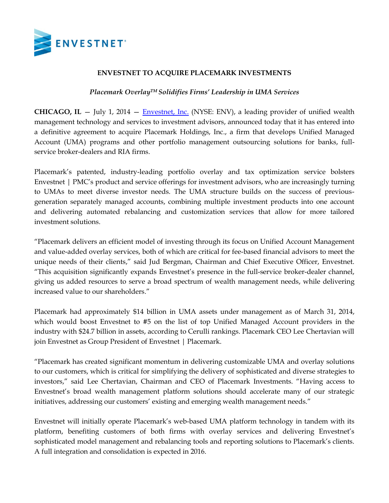

# **ENVESTNET TO ACQUIRE PLACEMARK INVESTMENTS**

## *Placemark OverlayTM Solidifies Firms' Leadership in UMA Services*

**CHICAGO, IL** — July 1, 2014 — [Envestnet,](http://www.envestnet.com/) Inc. (NYSE: ENV), a leading provider of unified wealth management technology and services to investment advisors, announced today that it has entered into a definitive agreement to acquire Placemark Holdings, Inc., a firm that develops Unified Managed Account (UMA) programs and other portfolio management outsourcing solutions for banks, fullservice broker-dealers and RIA firms.

Placemark's patented, industry-leading portfolio overlay and tax optimization service bolsters Envestnet | PMC's product and service offerings for investment advisors, who are increasingly turning to UMAs to meet diverse investor needs. The UMA structure builds on the success of previousgeneration separately managed accounts, combining multiple investment products into one account and delivering automated rebalancing and customization services that allow for more tailored investment solutions.

"Placemark delivers an efficient model of investing through its focus on Unified Account Management and value-added overlay services, both of which are critical for fee-based financial advisors to meet the unique needs of their clients," said Jud Bergman, Chairman and Chief Executive Officer, Envestnet. "This acquisition significantly expands Envestnet's presence in the full-service broker-dealer channel, giving us added resources to serve a broad spectrum of wealth management needs, while delivering increased value to our shareholders."

Placemark had approximately \$14 billion in UMA assets under management as of March 31, 2014, which would boost Envestnet to #5 on the list of top Unified Managed Account providers in the industry with \$24.7 billion in assets, according to Cerulli rankings. Placemark CEO Lee Chertavian will join Envestnet as Group President of Envestnet | Placemark.

"Placemark has created significant momentum in delivering customizable UMA and overlay solutions to our customers, which is critical for simplifying the delivery of sophisticated and diverse strategies to investors," said Lee Chertavian, Chairman and CEO of Placemark Investments. "Having access to Envestnet's broad wealth management platform solutions should accelerate many of our strategic initiatives, addressing our customers' existing and emerging wealth management needs."

Envestnet will initially operate Placemark's web-based UMA platform technology in tandem with its platform, benefiting customers of both firms with overlay services and delivering Envestnet's sophisticated model management and rebalancing tools and reporting solutions to Placemark's clients. A full integration and consolidation is expected in 2016.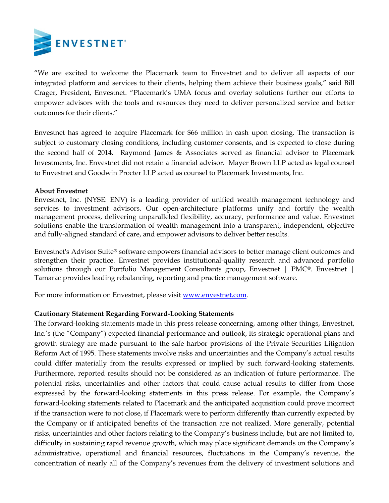

"We are excited to welcome the Placemark team to Envestnet and to deliver all aspects of our integrated platform and services to their clients, helping them achieve their business goals," said Bill Crager, President, Envestnet. "Placemark's UMA focus and overlay solutions further our efforts to empower advisors with the tools and resources they need to deliver personalized service and better outcomes for their clients."

Envestnet has agreed to acquire Placemark for \$66 million in cash upon closing. The transaction is subject to customary closing conditions, including customer consents, and is expected to close during the second half of 2014. Raymond James & Associates served as financial advisor to Placemark Investments, Inc. Envestnet did not retain a financial advisor. Mayer Brown LLP acted as legal counsel to Envestnet and Goodwin Procter LLP acted as counsel to Placemark Investments, Inc.

### **About Envestnet**

Envestnet, Inc. (NYSE: ENV) is a leading provider of unified wealth management technology and services to investment advisors. Our open-architecture platforms unify and fortify the wealth management process, delivering unparalleled flexibility, accuracy, performance and value. Envestnet solutions enable the transformation of wealth management into a transparent, independent, objective and fully-aligned standard of care, and empower advisors to deliver better results.

Envestnet's Advisor Suite® software empowers financial advisors to better manage client outcomes and strengthen their practice. Envestnet provides institutional-quality research and advanced portfolio solutions through our Portfolio Management Consultants group, Envestnet | PMC®. Envestnet | Tamarac provides leading rebalancing, reporting and practice management software.

For more information on Envestnet, please visi[t www.envestnet.com.](http://www.envestnet.com/)

## **Cautionary Statement Regarding Forward-Looking Statements**

The forward-looking statements made in this press release concerning, among other things, Envestnet, Inc.'s (the "Company") expected financial performance and outlook, its strategic operational plans and growth strategy are made pursuant to the safe harbor provisions of the Private Securities Litigation Reform Act of 1995. These statements involve risks and uncertainties and the Company's actual results could differ materially from the results expressed or implied by such forward-looking statements. Furthermore, reported results should not be considered as an indication of future performance. The potential risks, uncertainties and other factors that could cause actual results to differ from those expressed by the forward-looking statements in this press release. For example, the Company's forward-looking statements related to Placemark and the anticipated acquisition could prove incorrect if the transaction were to not close, if Placemark were to perform differently than currently expected by the Company or if anticipated benefits of the transaction are not realized. More generally, potential risks, uncertainties and other factors relating to the Company's business include, but are not limited to, difficulty in sustaining rapid revenue growth, which may place significant demands on the Company's administrative, operational and financial resources, fluctuations in the Company's revenue, the concentration of nearly all of the Company's revenues from the delivery of investment solutions and